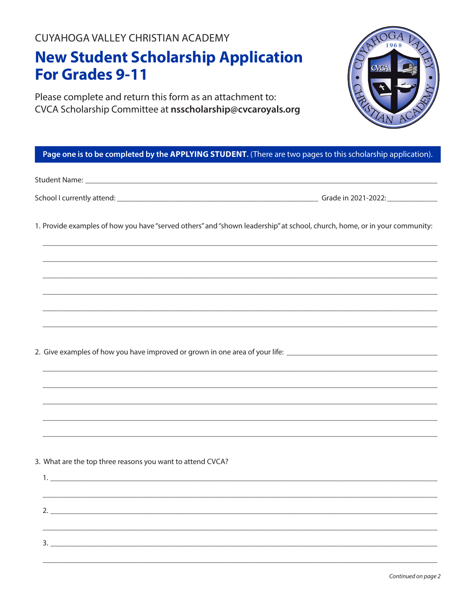CUYAHOGA VALLEY CHRISTIAN ACADEMY

## **New Student Scholarship Application For Grades 9-11**

Please complete and return this form as an attachment to: CVCA Scholarship Committee at nsscholarship@cvcaroyals.org

## Page one is to be completed by the APPLYING STUDENT. (There are two pages to this scholarship application).

|                                                            | 1. Provide examples of how you have "served others" and "shown leadership" at school, church, home, or in your community:                                                                                                                                                              |
|------------------------------------------------------------|----------------------------------------------------------------------------------------------------------------------------------------------------------------------------------------------------------------------------------------------------------------------------------------|
|                                                            |                                                                                                                                                                                                                                                                                        |
|                                                            |                                                                                                                                                                                                                                                                                        |
|                                                            |                                                                                                                                                                                                                                                                                        |
|                                                            | ,我们就会在这里的,我们就会在这里的人,我们就会在这里的人,我们就会在这里的人,我们就会在这里的人,我们就会在这里的人,我们就会在这里的人,我们就会在这里的人,<br>第251章 我们的人,我们就会在这里的人,我们就会在这里的人,我们就会在这里的人,我们就会在这里的人,我们就会在这里的人,我们就会在这里的人,我们就会在这里的人<br>2. Give examples of how you have improved or grown in one area of your life: _________________________________ |
|                                                            |                                                                                                                                                                                                                                                                                        |
|                                                            |                                                                                                                                                                                                                                                                                        |
|                                                            | ,我们就会在这里的,我们就会在这里的,我们就会在这里的,我们就会在这里的,我们就会在这里的,我们就会在这里的。""我们,我们就会不会不会。""我们,我们就会不会                                                                                                                                                                                                       |
|                                                            |                                                                                                                                                                                                                                                                                        |
| 3. What are the top three reasons you want to attend CVCA? |                                                                                                                                                                                                                                                                                        |
|                                                            |                                                                                                                                                                                                                                                                                        |
|                                                            |                                                                                                                                                                                                                                                                                        |
|                                                            |                                                                                                                                                                                                                                                                                        |
|                                                            |                                                                                                                                                                                                                                                                                        |